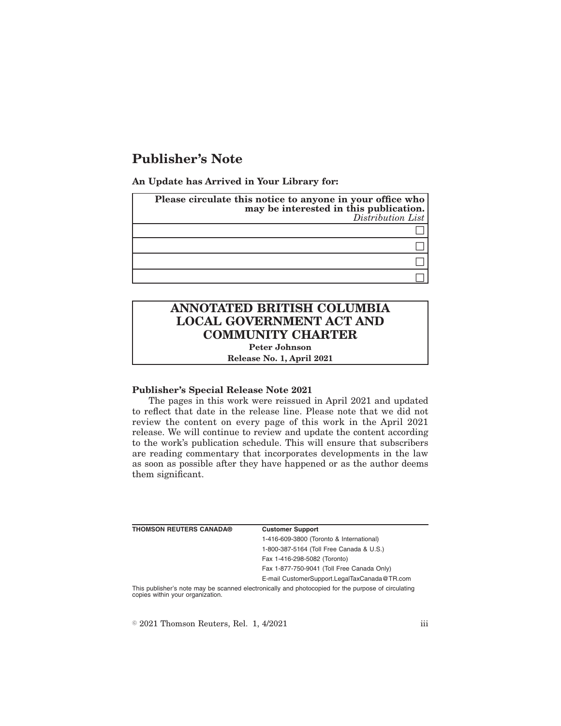## **Publisher's Note**

**An Update has Arrived in Your Library for:**

| Please circulate this notice to anyone in your office who<br>may be interested in this publication.<br>Distribution List |
|--------------------------------------------------------------------------------------------------------------------------|
|                                                                                                                          |
|                                                                                                                          |
|                                                                                                                          |
|                                                                                                                          |

# **ANNOTATED BRITISH COLUMBIA LOCAL GOVERNMENT ACT AND COMMUNITY CHARTER**

**Peter Johnson**

**Release No. 1, April 2021**

#### **Publisher's Special Release Note 2021**

The pages in this work were reissued in April 2021 and updated to reflect that date in the release line. Please note that we did not review the content on every page of this work in the April 2021 release. We will continue to review and update the content according to the work's publication schedule. This will ensure that subscribers are reading commentary that incorporates developments in the law as soon as possible after they have happened or as the author deems them significant.

| <b>THOMSON REUTERS CANADA®</b> | <b>Customer Support</b>                                                                                                             |
|--------------------------------|-------------------------------------------------------------------------------------------------------------------------------------|
|                                | 1-416-609-3800 (Toronto & International)                                                                                            |
|                                | 1-800-387-5164 (Toll Free Canada & U.S.)                                                                                            |
|                                | Fax 1-416-298-5082 (Toronto)                                                                                                        |
|                                | Fax 1-877-750-9041 (Toll Free Canada Only)                                                                                          |
|                                | E-mail CustomerSupport.LegalTaxCanada@TR.com                                                                                        |
|                                | This publisher's note may be scanned electronically and photocopied for the purpose of circulating copies within your organization. |

 $\textdegree$  2021 Thomson Reuters, Rel. 1, 4/2021 iii